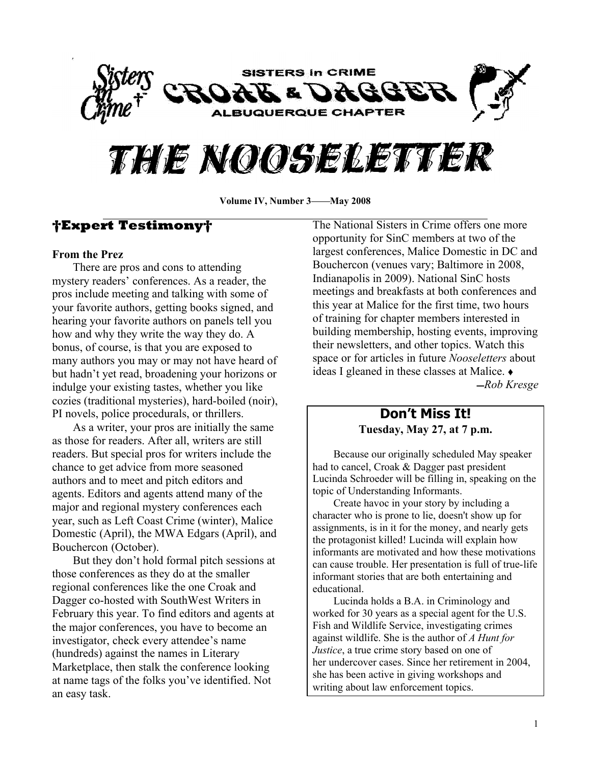

# THIE NOOSELETTER

Volume IV, Number 3——May 2008

# **Expert Testimony**

#### **From the Prez**

There are pros and cons to attending mystery readers' conferences. As a reader, the pros include meeting and talking with some of your favorite authors, getting books signed, and hearing your favorite authors on panels tell you how and why they write the way they do. A bonus, of course, is that you are exposed to many authors you may or may not have heard of but hadn't yet read, broadening your horizons or indulge your existing tastes, whether you like cozies (traditional mysteries), hard-boiled (noir), PI novels, police procedurals, or thrillers.

As a writer, your pros are initially the same as those for readers. After all, writers are still readers. But special pros for writers include the chance to get advice from more seasoned authors and to meet and pitch editors and agents. Editors and agents attend many of the major and regional mystery conferences each year, such as Left Coast Crime (winter), Malice Domestic (April), the MWA Edgars (April), and Bouchercon (October).

But they don't hold formal pitch sessions at those conferences as they do at the smaller regional conferences like the one Croak and Dagger co-hosted with SouthWest Writers in February this year. To find editors and agents at the major conferences, you have to become an investigator, check every attendee's name (hundreds) against the names in Literary Marketplace, then stalk the conference looking at name tags of the folks you've identified. Not an easy task.

The National Sisters in Crime offers one more opportunity for SinC members at two of the largest conferences, Malice Domestic in DC and Bouchercon (venues vary; Baltimore in 2008, Indianapolis in 2009). National SinC hosts meetings and breakfasts at both conferences and this year at Malice for the first time, two hours of training for chapter members interested in building membership, hosting events, improving their newsletters, and other topics. Watch this space or for articles in future *Nooseletters* about ideas I gleaned in these classes at Malice.  $\bullet$ ̛*Rob Kresge*

# **Don¶t Miss It! Tuesday, May 27, at 7 p.m.**

Because our originally scheduled May speaker had to cancel, Croak & Dagger past president Lucinda Schroeder will be filling in, speaking on the topic of Understanding Informants.

Create havoc in your story by including a character who is prone to lie, doesn't show up for assignments, is in it for the money, and nearly gets the protagonist killed! Lucinda will explain how informants are motivated and how these motivations can cause trouble. Her presentation is full of true-life informant stories that are both entertaining and educational.

Lucinda holds a B.A. in Criminology and worked for 30 years as a special agent for the U.S. Fish and Wildlife Service, investigating crimes against wildlife. She is the author of *A Hunt for Justice*, a true crime story based on one of her undercover cases. Since her retirement in 2004, she has been active in giving workshops and writing about law enforcement topics.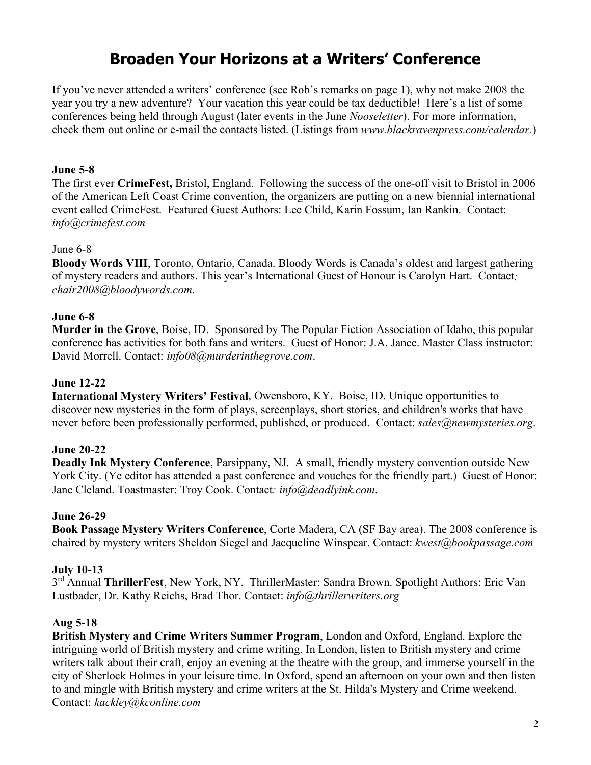# **Broaden Your Horizons at a Writers¶ Conference**

If you've never attended a writers' conference (see Rob's remarks on page 1), why not make 2008 the year you try a new adventure? Your vacation this year could be tax deductible! Here's a list of some conferences being held through August (later events in the June *Nooseletter*). For more information, check them out online or e-mail the contacts listed. (Listings from *www.blackravenpress.com/calendar.*)

#### **June 5-8**

The first ever **CrimeFest,** Bristol, England. Following the success of the one-off visit to Bristol in 2006 of the American Left Coast Crime convention, the organizers are putting on a new biennial international event called CrimeFest. Featured Guest Authors: Lee Child, Karin Fossum, Ian Rankin. Contact: *info@crimefest.com*

#### June 6-8

**Bloody Words VIII**, Toronto, Ontario, Canada. Bloody Words is Canada's oldest and largest gathering of mystery readers and authors. This year's International Guest of Honour is Carolyn Hart. Contact: *chair2008@bloodywords.com.* 

#### **June 6-8**

**Murder in the Grove**, Boise, ID. Sponsored by The Popular Fiction Association of Idaho, this popular conference has activities for both fans and writers. Guest of Honor: J.A. Jance. Master Class instructor: David Morrell. Contact: *info08@murderinthegrove.com*.

#### **June 12-22**

**International Mystery Writers¶ Festival**, Owensboro, KY. Boise, ID. Unique opportunities to discover new mysteries in the form of plays, screenplays, short stories, and children's works that have never before been professionally performed, published, or produced. Contact: *sales@newmysteries.org*.

#### **June 20-22**

**Deadly Ink Mystery Conference**, Parsippany, NJ. A small, friendly mystery convention outside New York City. (Ye editor has attended a past conference and vouches for the friendly part.) Guest of Honor: Jane Cleland. Toastmaster: Troy Cook. Contact*: info@deadlyink.com*.

#### **June 26-29**

**Book Passage Mystery Writers Conference**, Corte Madera, CA (SF Bay area). The 2008 conference is chaired by mystery writers Sheldon Siegel and Jacqueline Winspear. Contact: *kwest@bookpassage.com*

#### **July 10-13**

3<sup>rd</sup> Annual ThrillerFest, New York, NY. ThrillerMaster: Sandra Brown. Spotlight Authors: Eric Van Lustbader, Dr. Kathy Reichs, Brad Thor. Contact: *info@thrillerwriters.org*

#### **Aug 5-18**

**British Mystery and Crime Writers Summer Program**, London and Oxford, England. Explore the intriguing world of British mystery and crime writing. In London, listen to British mystery and crime writers talk about their craft, enjoy an evening at the theatre with the group, and immerse yourself in the city of Sherlock Holmes in your leisure time. In Oxford, spend an afternoon on your own and then listen to and mingle with British mystery and crime writers at the St. Hilda's Mystery and Crime weekend. Contact: *kackley@kconline.com*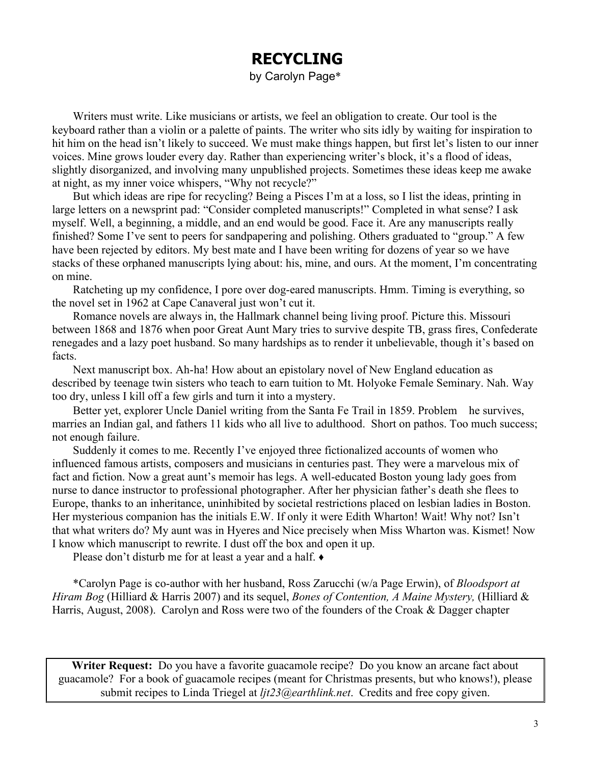# **RECYCLING**

by Carolyn Page\*

Writers must write. Like musicians or artists, we feel an obligation to create. Our tool is the keyboard rather than a violin or a palette of paints. The writer who sits idly by waiting for inspiration to hit him on the head isn't likely to succeed. We must make things happen, but first let's listen to our inner voices. Mine grows louder every day. Rather than experiencing writer's block, it's a flood of ideas, slightly disorganized, and involving many unpublished projects. Sometimes these ideas keep me awake at night, as my inner voice whispers, "Why not recycle?"

But which ideas are ripe for recycling? Being a Pisces I'm at a loss, so I list the ideas, printing in large letters on a newsprint pad: "Consider completed manuscripts!" Completed in what sense? I ask myself. Well, a beginning, a middle, and an end would be good. Face it. Are any manuscripts really finished? Some I've sent to peers for sandpapering and polishing. Others graduated to "group." A few have been rejected by editors. My best mate and I have been writing for dozens of year so we have stacks of these orphaned manuscripts lying about: his, mine, and ours. At the moment, I'm concentrating on mine.

Ratcheting up my confidence, I pore over dog-eared manuscripts. Hmm. Timing is everything, so the novel set in 1962 at Cape Canaveral just won't cut it.

Romance novels are always in, the Hallmark channel being living proof. Picture this. Missouri between 1868 and 1876 when poor Great Aunt Mary tries to survive despite TB, grass fires, Confederate renegades and a lazy poet husband. So many hardships as to render it unbelievable, though it's based on facts.

Next manuscript box. Ah-ha! How about an epistolary novel of New England education as described by teenage twin sisters who teach to earn tuition to Mt. Holyoke Female Seminary. Nah. Way too dry, unless I kill off a few girls and turn it into a mystery.

Better yet, explorer Uncle Daniel writing from the Santa Fe Trail in 1859. Problem—he survives, marries an Indian gal, and fathers 11 kids who all live to adulthood. Short on pathos. Too much success; not enough failure.

Suddenly it comes to me. Recently I've enjoyed three fictionalized accounts of women who influenced famous artists, composers and musicians in centuries past. They were a marvelous mix of fact and fiction. Now a great aunt's memoir has legs. A well-educated Boston young lady goes from nurse to dance instructor to professional photographer. After her physician father's death she flees to Europe, thanks to an inheritance, uninhibited by societal restrictions placed on lesbian ladies in Boston. Her mysterious companion has the initials E.W. If only it were Edith Wharton! Wait! Why not? Isn't that what writers do? My aunt was in Hyeres and Nice precisely when Miss Wharton was. Kismet! Now I know which manuscript to rewrite. I dust off the box and open it up.

Please don't disturb me for at least a year and a half.  $\triangle$ 

\*Carolyn Page is co-author with her husband, Ross Zarucchi (w/a Page Erwin), of *Bloodsport at Hiram Bog* (Hilliard & Harris 2007) and its sequel, *Bones of Contention, A Maine Mystery,* (Hilliard & Harris, August, 2008). Carolyn and Ross were two of the founders of the Croak & Dagger chapter

**Writer Request:** Do you have a favorite guacamole recipe? Do you know an arcane fact about guacamole? For a book of guacamole recipes (meant for Christmas presents, but who knows!), please submit recipes to Linda Triegel at *ljt23@earthlink.net*. Credits and free copy given.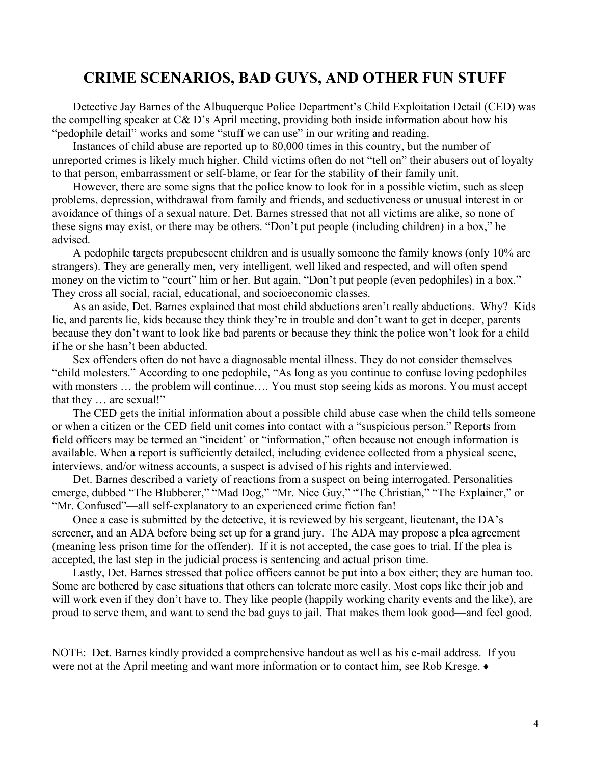# **CRIME SCENARIOS, BAD GUYS, AND OTHER FUN STUFF**

Detective Jay Barnes of the Albuquerque Police Department's Child Exploitation Detail (CED) was the compelling speaker at  $C\& D$ 's April meeting, providing both inside information about how his "pedophile detail" works and some "stuff we can use" in our writing and reading.

Instances of child abuse are reported up to 80,000 times in this country, but the number of unreported crimes is likely much higher. Child victims often do not "tell on" their abusers out of loyalty to that person, embarrassment or self-blame, or fear for the stability of their family unit.

However, there are some signs that the police know to look for in a possible victim, such as sleep problems, depression, withdrawal from family and friends, and seductiveness or unusual interest in or avoidance of things of a sexual nature. Det. Barnes stressed that not all victims are alike, so none of these signs may exist, or there may be others. "Don't put people (including children) in a box," he advised.

A pedophile targets prepubescent children and is usually someone the family knows (only 10% are strangers). They are generally men, very intelligent, well liked and respected, and will often spend money on the victim to "court" him or her. But again, "Don't put people (even pedophiles) in a box." They cross all social, racial, educational, and socioeconomic classes.

As an aside, Det. Barnes explained that most child abductions aren't really abductions. Why? Kids lie, and parents lie, kids because they think they're in trouble and don't want to get in deeper, parents because they don't want to look like bad parents or because they think the police won't look for a child if he or she hasn't been abducted.

Sex offenders often do not have a diagnosable mental illness. They do not consider themselves "child molesters." According to one pedophile, "As long as you continue to confuse loving pedophiles with monsters ... the problem will continue.... You must stop seeing kids as morons. You must accept that they  $\ldots$  are sexual!"

The CED gets the initial information about a possible child abuse case when the child tells someone or when a citizen or the CED field unit comes into contact with a "suspicious person." Reports from field officers may be termed an "incident' or "information," often because not enough information is available. When a report is sufficiently detailed, including evidence collected from a physical scene, interviews, and/or witness accounts, a suspect is advised of his rights and interviewed.

Det. Barnes described a variety of reactions from a suspect on being interrogated. Personalities emerge, dubbed "The Blubberer," "Mad Dog," "Mr. Nice Guy," "The Christian," "The Explainer," or "Mr. Confused"—all self-explanatory to an experienced crime fiction fan!

Once a case is submitted by the detective, it is reviewed by his sergeant, lieutenant, the DA's screener, and an ADA before being set up for a grand jury. The ADA may propose a plea agreement (meaning less prison time for the offender). If it is not accepted, the case goes to trial. If the plea is accepted, the last step in the judicial process is sentencing and actual prison time.

Lastly, Det. Barnes stressed that police officers cannot be put into a box either; they are human too. Some are bothered by case situations that others can tolerate more easily. Most cops like their job and will work even if they don't have to. They like people (happily working charity events and the like), are proud to serve them, and want to send the bad guys to jail. That makes them look good—and feel good.

NOTE: Det. Barnes kindly provided a comprehensive handout as well as his e-mail address. If you were not at the April meeting and want more information or to contact him, see Rob Kresge.  $\bullet$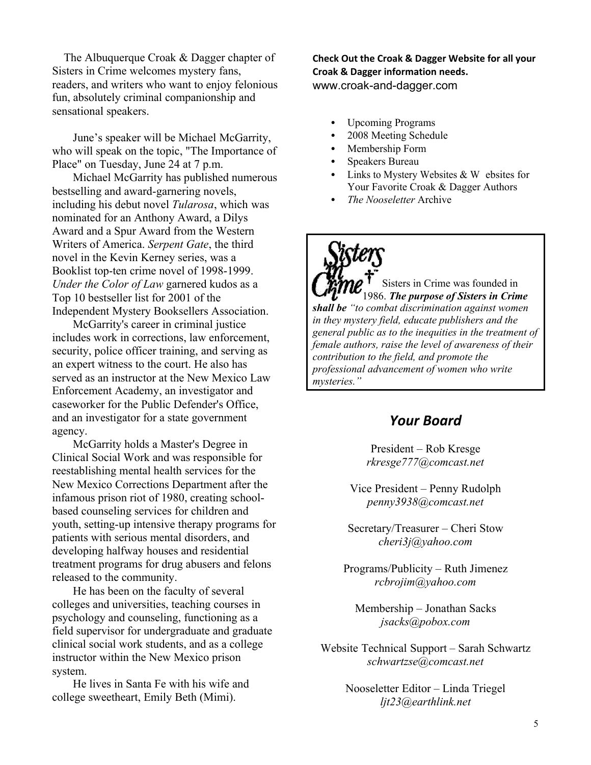The Albuquerque Croak & Dagger chapter of Sisters in Crime welcomes mystery fans, readers, and writers who want to enjoy felonious fun, absolutely criminal companionship and sensational speakers.

June's speaker will be Michael McGarrity, who will speak on the topic, "The Importance of Place" on Tuesday, June 24 at 7 p.m.

Michael McGarrity has published numerous bestselling and award-garnering novels, including his debut novel *Tularosa*, which was nominated for an Anthony Award, a Dilys Award and a Spur Award from the Western Writers of America. *Serpent Gate*, the third novel in the Kevin Kerney series, was a Booklist top-ten crime novel of 1998-1999. *Under the Color of Law* garnered kudos as a Top 10 bestseller list for 2001 of the Independent Mystery Booksellers Association.

McGarrity's career in criminal justice includes work in corrections, law enforcement, security, police officer training, and serving as an expert witness to the court. He also has served as an instructor at the New Mexico Law Enforcement Academy, an investigator and caseworker for the Public Defender's Office, and an investigator for a state government agency.

McGarrity holds a Master's Degree in Clinical Social Work and was responsible for reestablishing mental health services for the New Mexico Corrections Department after the infamous prison riot of 1980, creating schoolbased counseling services for children and youth, setting-up intensive therapy programs for patients with serious mental disorders, and developing halfway houses and residential treatment programs for drug abusers and felons released to the community.

He has been on the faculty of several colleges and universities, teaching courses in psychology and counseling, functioning as a field supervisor for undergraduate and graduate clinical social work students, and as a college instructor within the New Mexico prison system.

He lives in Santa Fe with his wife and college sweetheart, Emily Beth (Mimi).

**Check Out the Croak & Dagger Website for all your Croak & Dagger information needs.** www.croak-and-dagger.com

- Upcoming Programs
- 2008 Meeting Schedule
- Membership Form
- Speakers Bureau
- Links to Mystery Websites  $&$  W ebsites for Your Favorite Croak & Dagger Authors
- *The Nooseletter* Archive

Sisters in Crime was founded in 1986. *The purpose of Sisters in Crime shall be ³to combat discrimination against women in they mystery field, educate publishers and the general public as to the inequities in the treatment of female authors, raise the level of awareness of their contribution to the field, and promote the professional advancement of women who write mysteries.´*

# *Your Board*

President – Rob Kresge *rkresge777@comcast.net*

Vice President – Penny Rudolph *penny3938@comcast.net*

Secretary/Treasurer – Cheri Stow *cheri3j@yahoo.com*

Programs/Publicity – Ruth Jimenez *rcbrojim@yahoo.com*

Membership - Jonathan Sacks *jsacks@pobox.com*

Website Technical Support - Sarah Schwartz *schwartzse@comcast.net*

> Nooseletter Editor - Linda Triegel *ljt23@earthlink.net*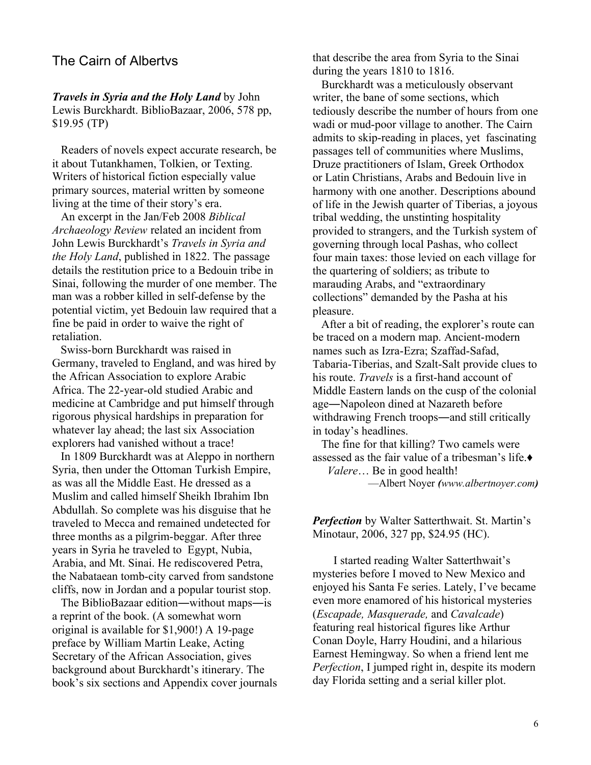#### The Cairn of Albertys

*Travels in Syria and the Holy Land* by John Lewis Burckhardt. BiblioBazaar, 2006, 578 pp, \$19.95 (TP)

 Readers of novels expect accurate research, be it about Tutankhamen, Tolkien, or Texting. Writers of historical fiction especially value primary sources, material written by someone living at the time of their story's era.

 An excerpt in the Jan/Feb 2008 *Biblical Archaeology Review* related an incident from John Lewis Burckhardt's *Travels in Syria and the Holy Land*, published in 1822. The passage details the restitution price to a Bedouin tribe in Sinai, following the murder of one member. The man was a robber killed in self-defense by the potential victim, yet Bedouin law required that a fine be paid in order to waive the right of retaliation.

 Swiss-born Burckhardt was raised in Germany, traveled to England, and was hired by the African Association to explore Arabic Africa. The 22-year-old studied Arabic and medicine at Cambridge and put himself through rigorous physical hardships in preparation for whatever lay ahead; the last six Association explorers had vanished without a trace!

 In 1809 Burckhardt was at Aleppo in northern Syria, then under the Ottoman Turkish Empire, as was all the Middle East. He dressed as a Muslim and called himself Sheikh Ibrahim Ibn Abdullah. So complete was his disguise that he traveled to Mecca and remained undetected for three months as a pilgrim-beggar. After three years in Syria he traveled toEgypt, Nubia, Arabia, and Mt. Sinai. He rediscovered Petra, the Nabataean tomb-city carved from sandstone cliffs, now in Jordan and a popular tourist stop.

The BiblioBazaar edition—without maps—is a reprint of the book. (A somewhat worn original is available for \$1,900!) A 19-page preface by William Martin Leake, Acting Secretary of the African Association, gives background about Burckhardt's itinerary. The book's six sections and Appendix cover journals that describe the area from Syria to the Sinai during the years 1810 to 1816.

 Burckhardt was a meticulously observant writer, the bane of some sections, which tediously describe the number of hours from one wadi or mud-poor village to another. The Cairn admits to skip-reading in places, yet fascinating passages tell of communities where Muslims, Druze practitioners of Islam, Greek Orthodox or Latin Christians, Arabs and Bedouin live in harmony with one another. Descriptions abound of life in the Jewish quarter of Tiberias, a joyous tribal wedding, the unstinting hospitality provided to strangers, and the Turkish system of governing through local Pashas, who collect four main taxes: those levied on each village for the quartering of soldiers; as tribute to marauding Arabs, and "extraordinary collections" demanded by the Pasha at his pleasure.

After a bit of reading, the explorer's route can be traced on a modern map. Ancient-modern names such as Izra-Ezra; Szaffad-Safad, Tabaria-Tiberias, and Szalt-Salt provide clues to his route. *Travels* is a first-hand account of Middle Eastern lands on the cusp of the colonial age—Napoleon dined at Nazareth before withdrawing French troops—and still critically in today's headlines.

 The fine for that killing? Two camels were assessed as the fair value of a tribesman's life. $\bullet$ *Valere*... Be in good health!

²Albert Noyer *(www.albertnoyer.com)*

**Perfection** by Walter Satterthwait. St. Martin's Minotaur, 2006, 327 pp, \$24.95 (HC).

I started reading Walter Satterthwait's mysteries before I moved to New Mexico and enjoyed his Santa Fe series. Lately, I've became even more enamored of his historical mysteries (*Escapade, Masquerade,* and *Cavalcade*) featuring real historical figures like Arthur Conan Doyle, Harry Houdini, and a hilarious Earnest Hemingway. So when a friend lent me *Perfection*, I jumped right in, despite its modern day Florida setting and a serial killer plot.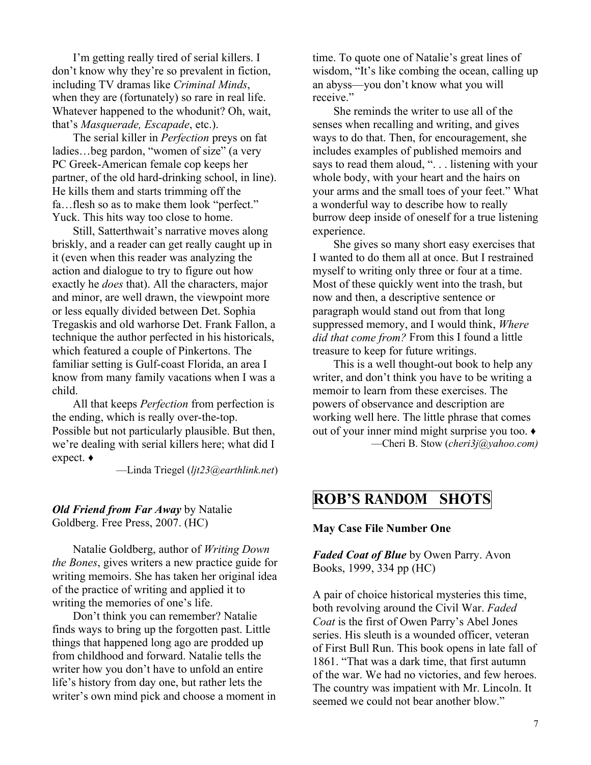I'm getting really tired of serial killers. I don't know why they're so prevalent in fiction, including TV dramas like *Criminal Minds*, when they are (fortunately) so rare in real life. Whatever happened to the whodunit? Oh, wait, that's *Masquerade*, *Escapade*, etc.).

The serial killer in *Perfection* preys on fat ladies...beg pardon, "women of size" (a very PC Greek-American female cop keeps her partner, of the old hard-drinking school, in line). He kills them and starts trimming off the fa...flesh so as to make them look "perfect." Yuck. This hits way too close to home.

Still, Satterthwait's narrative moves along briskly, and a reader can get really caught up in it (even when this reader was analyzing the action and dialogue to try to figure out how exactly he *does* that). All the characters, major and minor, are well drawn, the viewpoint more or less equally divided between Det. Sophia Tregaskis and old warhorse Det. Frank Fallon, a technique the author perfected in his historicals, which featured a couple of Pinkertons. The familiar setting is Gulf-coast Florida, an area I know from many family vacations when I was a child.

All that keeps *Perfection* from perfection is the ending, which is really over-the-top. Possible but not particularly plausible. But then, we're dealing with serial killers here; what did I expect.  $\bullet$ 

²Linda Triegel (*ljt23@earthlink.net*)

#### *Old Friend from Far Away* by Natalie Goldberg. Free Press, 2007. (HC)

Natalie Goldberg, author of *Writing Down the Bones*, gives writers a new practice guide for writing memoirs. She has taken her original idea of the practice of writing and applied it to writing the memories of one's life.

Don't think you can remember? Natalie finds ways to bring up the forgotten past. Little things that happened long ago are prodded up from childhood and forward. Natalie tells the writer how you don't have to unfold an entire life's history from day one, but rather lets the writer's own mind pick and choose a moment in time. To quote one of Natalie's great lines of wisdom, "It's like combing the ocean, calling up an abyss—you don't know what you will receive<sup>"</sup>

She reminds the writer to use all of the senses when recalling and writing, and gives ways to do that. Then, for encouragement, she includes examples of published memoirs and says to read them aloud, "... listening with your whole body, with your heart and the hairs on your arms and the small toes of your feet." What a wonderful way to describe how to really burrow deep inside of oneself for a true listening experience.

She gives so many short easy exercises that I wanted to do them all at once. But I restrained myself to writing only three or four at a time. Most of these quickly went into the trash, but now and then, a descriptive sentence or paragraph would stand out from that long suppressed memory, and I would think, *Where did that come from?* From this I found a little treasure to keep for future writings.

This is a well thought-out book to help any writer, and don't think you have to be writing a memoir to learn from these exercises. The powers of observance and description are working well here. The little phrase that comes out of your inner mind might surprise you too.  $\triangleleft$ ²Cheri B. Stow (*cheri3j@yahoo.com)*

# **ROB¶S RANDOM SHOTS**

#### **May Case File Number One**

*Faded Coat of Blue* by Owen Parry. Avon Books, 1999, 334 pp (HC)

A pair of choice historical mysteries this time, both revolving around the Civil War. *Faded*  Coat is the first of Owen Parry's Abel Jones series. His sleuth is a wounded officer, veteran of First Bull Run. This book opens in late fall of 1861. "That was a dark time, that first autumn of the war. We had no victories, and few heroes. The country was impatient with Mr. Lincoln. It seemed we could not bear another blow."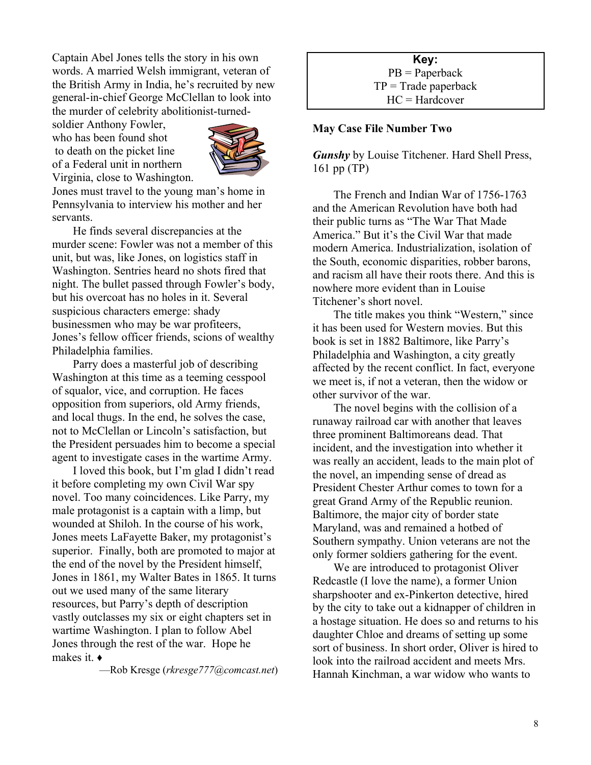Captain Abel Jones tells the story in his own words. A married Welsh immigrant, veteran of the British Army in India, he's recruited by new general-in-chief George McClellan to look into the murder of celebrity abolitionist-turned-

soldier Anthony Fowler, who has been found shot to death on the picket line of a Federal unit in northern Virginia, close to Washington.



Jones must travel to the young man's home in Pennsylvania to interview his mother and her servants.

He finds several discrepancies at the murder scene: Fowler was not a member of this unit, but was, like Jones, on logistics staff in Washington. Sentries heard no shots fired that night. The bullet passed through Fowler's body, but his overcoat has no holes in it. Several suspicious characters emerge: shady businessmen who may be war profiteers, Jones's fellow officer friends, scions of wealthy Philadelphia families.

Parry does a masterful job of describing Washington at this time as a teeming cesspool of squalor, vice, and corruption. He faces opposition from superiors, old Army friends, and local thugs. In the end, he solves the case, not to McClellan or Lincoln's satisfaction, but the President persuades him to become a special agent to investigate cases in the wartime Army.

I loved this book, but I'm glad I didn't read it before completing my own Civil War spy novel. Too many coincidences. Like Parry, my male protagonist is a captain with a limp, but wounded at Shiloh. In the course of his work, Jones meets LaFayette Baker, my protagonist's superior. Finally, both are promoted to major at the end of the novel by the President himself, Jones in 1861, my Walter Bates in 1865. It turns out we used many of the same literary resources, but Parry's depth of description vastly outclasses my six or eight chapters set in wartime Washington. I plan to follow Abel Jones through the rest of the war. Hope he makes it.  $\triangleleft$ 

²Rob Kresge (*rkresge777@comcast.net*)

**Key:** PB = Paperback  $TP = Trade$  paperback HC = Hardcover

#### **May Case File Number Two**

*Gunshy* by Louise Titchener. Hard Shell Press, 161 pp (TP)

The French and Indian War of 1756-1763 and the American Revolution have both had their public turns as "The War That Made" America." But it's the Civil War that made modern America. Industrialization, isolation of the South, economic disparities, robber barons, and racism all have their roots there. And this is nowhere more evident than in Louise Titchener's short novel.

The title makes you think "Western," since it has been used for Western movies. But this book is set in 1882 Baltimore, like Parry's Philadelphia and Washington, a city greatly affected by the recent conflict. In fact, everyone we meet is, if not a veteran, then the widow or other survivor of the war.

The novel begins with the collision of a runaway railroad car with another that leaves three prominent Baltimoreans dead. That incident, and the investigation into whether it was really an accident, leads to the main plot of the novel, an impending sense of dread as President Chester Arthur comes to town for a great Grand Army of the Republic reunion. Baltimore, the major city of border state Maryland, was and remained a hotbed of Southern sympathy. Union veterans are not the only former soldiers gathering for the event.

We are introduced to protagonist Oliver Redcastle (I love the name), a former Union sharpshooter and ex-Pinkerton detective, hired by the city to take out a kidnapper of children in a hostage situation. He does so and returns to his daughter Chloe and dreams of setting up some sort of business. In short order, Oliver is hired to look into the railroad accident and meets Mrs. Hannah Kinchman, a war widow who wants to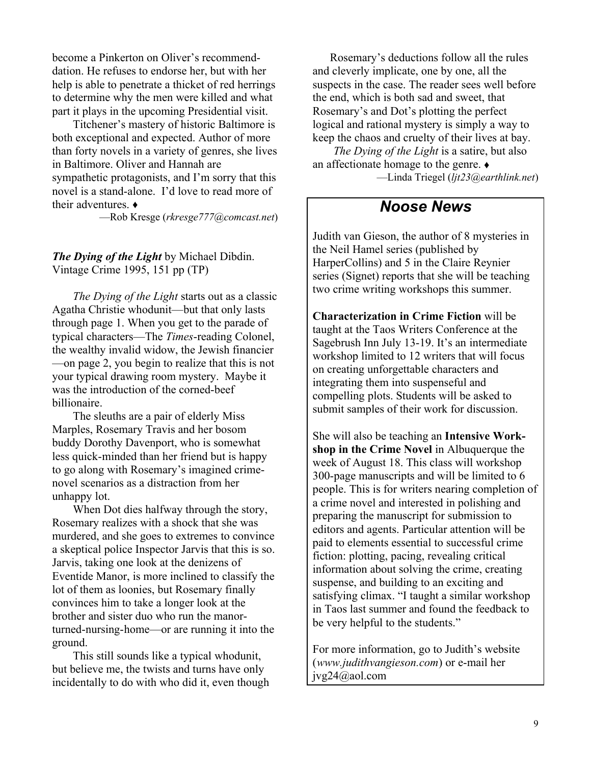become a Pinkerton on Oliver's recommenddation. He refuses to endorse her, but with her help is able to penetrate a thicket of red herrings to determine why the men were killed and what part it plays in the upcoming Presidential visit.

Titchener's mastery of historic Baltimore is both exceptional and expected. Author of more than forty novels in a variety of genres, she lives in Baltimore. Oliver and Hannah are sympathetic protagonists, and I'm sorry that this novel is a stand-alone. I'd love to read more of their adventures  $\triangle$ 

²Rob Kresge (*rkresge777@comcast.net*)

*The Dying of the Light* by Michael Dibdin. Vintage Crime 1995, 151 pp (TP)

*The Dying of the Light* starts out as a classic Agatha Christie whodunit—but that only lasts through page 1. When you get to the parade of typical characters-The *Times*-reading Colonel, the wealthy invalid widow, the Jewish financier  $\equiv$  -on page 2, you begin to realize that this is not your typical drawing room mystery. Maybe it was the introduction of the corned-beef billionaire.

The sleuths are a pair of elderly Miss Marples, Rosemary Travis and her bosom buddy Dorothy Davenport, who is somewhat less quick-minded than her friend but is happy to go along with Rosemary's imagined crimenovel scenarios as a distraction from her unhappy lot.

When Dot dies halfway through the story, Rosemary realizes with a shock that she was murdered, and she goes to extremes to convince a skeptical police Inspector Jarvis that this is so. Jarvis, taking one look at the denizens of Eventide Manor, is more inclined to classify the lot of them as loonies, but Rosemary finally convinces him to take a longer look at the brother and sister duo who run the manorturned-nursing-home—or are running it into the ground.

This still sounds like a typical whodunit, but believe me, the twists and turns have only incidentally to do with who did it, even though

Rosemary's deductions follow all the rules and cleverly implicate, one by one, all the suspects in the case. The reader sees well before the end, which is both sad and sweet, that Rosemary's and Dot's plotting the perfect logical and rational mystery is simply a way to keep the chaos and cruelty of their lives at bay.

*The Dying of the Light* is a satire, but also an affectionate homage to the genre.  $\bullet$ ²Linda Triegel (*ljt23@earthlink.net*)

# *Noose News*

Judith van Gieson, the author of 8 mysteries in the Neil Hamel series (published by HarperCollins) and 5 in the Claire Reynier series (Signet) reports that she will be teaching two crime writing workshops this summer.

**Characterization in Crime Fiction** will be taught at the Taos Writers Conference at the Sagebrush Inn July 13-19. It's an intermediate workshop limited to 12 writers that will focus on creating unforgettable characters and integrating them into suspenseful and compelling plots. Students will be asked to submit samples of their work for discussion.

She will also be teaching an **Intensive Workshop in the Crime Novel** in Albuquerque the week of August 18. This class will workshop 300-page manuscripts and will be limited to 6 people. This is for writers nearing completion of a crime novel and interested in polishing and preparing the manuscript for submission to editors and agents. Particular attention will be paid to elements essential to successful crime fiction: plotting, pacing, revealing critical information about solving the crime, creating suspense, and building to an exciting and satisfying climax. "I taught a similar workshop in Taos last summer and found the feedback to be very helpful to the students."

For more information, go to Judith's website (*www.judithvangieson.com*) or e-mail her jvg24@aol.com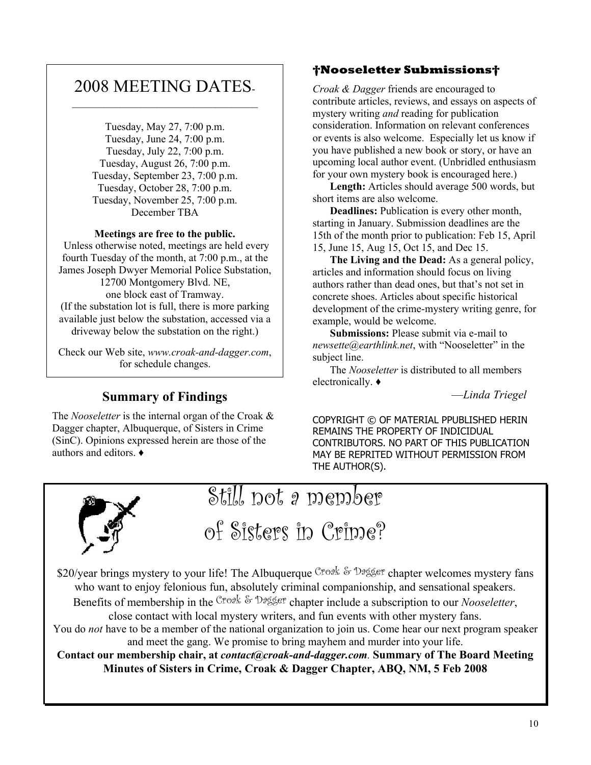# 2008 MEETING DATES-  $\mathcal{L}_\text{max}$

Tuesday, May 27, 7:00 p.m. Tuesday, June 24, 7:00 p.m. Tuesday, July 22, 7:00 p.m. Tuesday, August 26, 7:00 p.m. Tuesday, September 23, 7:00 p.m. Tuesday, October 28, 7:00 p.m. Tuesday, November 25, 7:00 p.m. December TBA

#### **Meetings are free to the public.**

 Unless otherwise noted, meetings are held every fourth Tuesday of the month, at 7:00 p.m., at the James Joseph Dwyer Memorial Police Substation, 12700 Montgomery Blvd. NE, one block east of Tramway. (If the substation lot is full, there is more parking available just below the substation, accessed via a driveway below the substation on the right.)

Check our Web site, *www.croak-and-dagger.com*, for schedule changes.

# **Summary of Findings**

The *Nooseletter* is the internal organ of the Croak & Dagger chapter, Albuquerque, of Sisters in Crime (SinC). Opinions expressed herein are those of the authors and editors.  $\triangleleft$ 

#### **Nooseletter Submissions**

*Croak & Dagger* friends are encouraged to contribute articles, reviews, and essays on aspects of mystery writing *and* reading for publication consideration. Information on relevant conferences or events is also welcome. Especially let us know if you have published a new book or story, or have an upcoming local author event. (Unbridled enthusiasm for your own mystery book is encouraged here.)

**Length:** Articles should average 500 words, but short items are also welcome.

**Deadlines:** Publication is every other month, starting in January. Submission deadlines are the 15th of the month prior to publication: Feb 15, April 15, June 15, Aug 15, Oct 15, and Dec 15.

**The Living and the Dead:** As a general policy, articles and information should focus on living authors rather than dead ones, but that's not set in concrete shoes. Articles about specific historical development of the crime-mystery writing genre, for example, would be welcome.

**Submissions:** Please submit via e-mail to *newsette@earthlink.net*, with "Nooseletter" in the subject line.

The *Nooseletter* is distributed to all members electronically.  $\triangleleft$ 

²*Linda Triegel*

COPYRIGHT © OF MATERIAL PPUBLISHED HERIN REMAINS THE PROPERTY OF INDICIDUAL CONTRIBUTORS. NO PART OF THIS PUBLICATION MAY BE REPRITED WITHOUT PERMISSION FROM THE AUTHOR(S).



Still not a member

of Sisters in Crime?

\$20/year brings mystery to your life! The Albuquerque Croak & Dagger chapter welcomes mystery fans who want to enjoy felonious fun, absolutely criminal companionship, and sensational speakers. Benefits of membership in the Croak & Dagger chapter include a subscription to our *Nooseletter*,

close contact with local mystery writers, and fun events with other mystery fans.

You do *not* have to be a member of the national organization to join us. Come hear our next program speaker and meet the gang. We promise to bring mayhem and murder into your life.

**Contact our membership chair, at** *contact@croak-and-dagger.com.* **Summary of The Board Meeting Minutes of Sisters in Crime, Croak & Dagger Chapter, ABQ, NM, 5 Feb 2008**